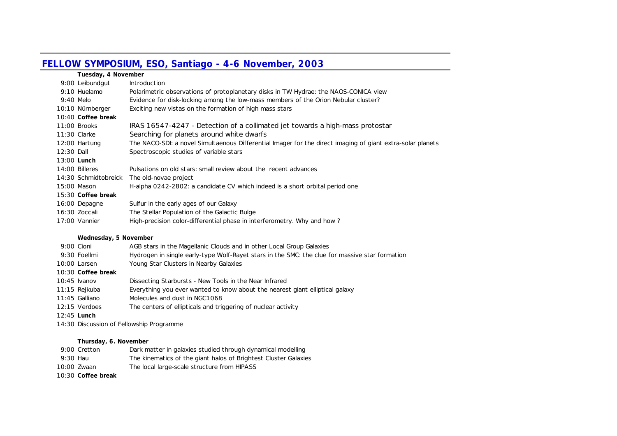## **FELLOW SYMPOSIUM, ESO, Santiago - 4-6 November, 2003**

|                      | Tuesday, 4 November                                                                                        |  |  |
|----------------------|------------------------------------------------------------------------------------------------------------|--|--|
| 9:00 Leibundgut      | <b>Introduction</b>                                                                                        |  |  |
| 9:10 Huelamo         | Polarimetric observations of protoplanetary disks in TW Hydrae: the NAOS-CONICA view                       |  |  |
| $9:40$ Melo          | Evidence for disk-locking among the low-mass members of the Orion Nebular cluster?                         |  |  |
| 10:10 Nürnberger     | Exciting new vistas on the formation of high mass stars                                                    |  |  |
| 10:40 Coffee break   |                                                                                                            |  |  |
| 11:00 Brooks         | IRAS 16547-4247 - Detection of a collimated jet towards a high-mass protostar                              |  |  |
| 11:30 Clarke         | Searching for planets around white dwarfs                                                                  |  |  |
| 12:00 Hartung        | The NACO-SDI: a novel Simultaenous Differential Imager for the direct imaging of giant extra-solar planets |  |  |
| 12:30 Dall           | Spectroscopic studies of variable stars                                                                    |  |  |
| $13:00$ Lunch        |                                                                                                            |  |  |
| 14:00 Billeres       | Pulsations on old stars: small review about the recent advances                                            |  |  |
| 14:30 Schmidtobreick | The old-novae project                                                                                      |  |  |
| 15:00 Mason          | H-alpha 0242-2802: a candidate CV which indeed is a short orbital period one                               |  |  |
| 15:30 Coffee break   |                                                                                                            |  |  |
| 16:00 Depagne        | Sulfur in the early ages of our Galaxy                                                                     |  |  |
| 16:30 Zoccali        | The Stellar Population of the Galactic Bulge                                                               |  |  |
| 17:00 Vannier        | High-precision color-differential phase in interferometry. Why and how?                                    |  |  |

## **Wednesday, 5 November**

| 9:00 Cioni    |                    | AGB stars in the Magellanic Clouds and in other Local Group Galaxies                           |
|---------------|--------------------|------------------------------------------------------------------------------------------------|
|               | 9:30 Foellmi       | Hydrogen in single early-type Wolf-Rayet stars in the SMC: the clue for massive star formation |
|               | 10:00 Larsen       | Young Star Clusters in Nearby Galaxies                                                         |
|               | 10:30 Coffee break |                                                                                                |
|               | $10:45$ Ivanov     | Dissecting Starbursts - New Tools in the Near Infrared                                         |
|               | 11:15 Rejkuba      | Everything you ever wanted to know about the nearest giant elliptical galaxy                   |
|               | 11:45 Galliano     | Molecules and dust in NGC1068                                                                  |
|               | 12:15 Verdoes      | The centers of ellipticals and triggering of nuclear activity                                  |
| $12:45$ Lunch |                    |                                                                                                |
|               |                    | 14:30 Discussion of Fellowship Programme                                                       |

## **Thursday, 6. November**

|             | 9:00 Cretton       | Dark matter in galaxies studied through dynamical modelling     |
|-------------|--------------------|-----------------------------------------------------------------|
| 9:30 Hau    |                    | The kinematics of the giant halos of Brightest Cluster Galaxies |
| 10:00 Zwaan |                    | The local large-scale structure from HIPASS                     |
|             | 10:30 Coffee break |                                                                 |